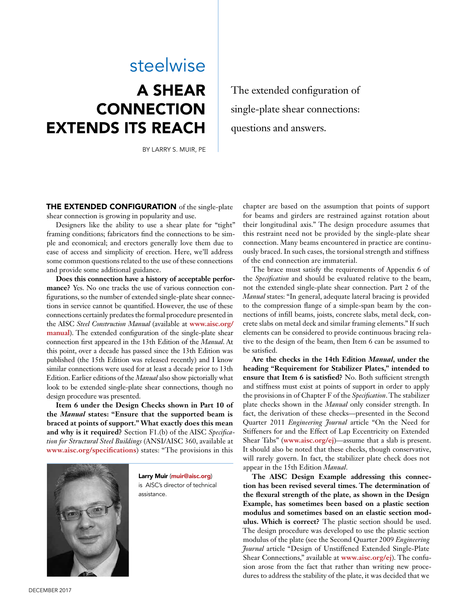## steelwise

# A SHEAR **CONNECTION** EXTENDS ITS REACH

BY LARRY S. MUIR, PE

The extended configuration of single-plate shear connections: questions and answers.

THE EXTENDED CONFIGURATION of the single-plate shear connection is growing in popularity and use.

Designers like the ability to use a shear plate for "tight" framing conditions; fabricators find the connections to be simple and economical; and erectors generally love them due to ease of access and simplicity of erection. Here, we'll address some common questions related to the use of these connections and provide some additional guidance.

**Does this connection have a history of acceptable performance?** Yes. No one tracks the use of various connection configurations, so the number of extended single-plate shear connections in service cannot be quantified. However, the use of these connections certainly predates the formal procedure presented in the AISC *Steel Construction Manual* (available at **www.aisc.org/ manual**). The extended configuration of the single-plate shear connection first appeared in the 13th Edition of the *Manual*. At this point, over a decade has passed since the 13th Edition was published (the 15th Edition was released recently) and I know similar connections were used for at least a decade prior to 13th Edition. Earlier editions of the *Manual* also show pictorially what look to be extended single-plate shear connections, though no design procedure was presented.

**Item 6 under the Design Checks shown in Part 10 of the** *Manual* **states: "Ensure that the supported beam is braced at points of support." What exactly does this mean and why is it required?** Section F1.(b) of the AISC *Specification for Structural Steel Buildings* (ANSI/AISC 360, available at **www.aisc.org/specifications**) states: "The provisions in this



Larry Muir (muir@aisc.org) is AISC's director of technical assistance.

chapter are based on the assumption that points of support for beams and girders are restrained against rotation about their longitudinal axis." The design procedure assumes that this restraint need not be provided by the single-plate shear connection. Many beams encountered in practice are continuously braced. In such cases, the torsional strength and stiffness of the end connection are immaterial.

The brace must satisfy the requirements of Appendix 6 of the *Specification* and should be evaluated relative to the beam, not the extended single-plate shear connection. Part 2 of the *Manual* states: "In general, adequate lateral bracing is provided to the compression flange of a simple-span beam by the connections of infill beams, joists, concrete slabs, metal deck, concrete slabs on metal deck and similar framing elements." If such elements can be considered to provide continuous bracing relative to the design of the beam, then Item 6 can be assumed to be satisfied.

**Are the checks in the 14th Edition** *Manual***, under the heading "Requirement for Stabilizer Plates," intended to ensure that Item 6 is satisfied?** No. Both sufficient strength and stiffness must exist at points of support in order to apply the provisions in of Chapter F of the *Specification*. The stabilizer plate checks shown in the *Manual* only consider strength. In fact, the derivation of these checks—presented in the Second Quarter 2011 *Engineering Journal* article "On the Need for Stiffeners for and the Effect of Lap Eccentricity on Extended Shear Tabs" (**www.aisc.org/ej**)—assume that a slab is present. It should also be noted that these checks, though conservative, will rarely govern. In fact, the stabilizer plate check does not appear in the 15th Edition *Manual*.

**The AISC Design Example addressing this connection has been revised several times. The determination of the flexural strength of the plate, as shown in the Design Example, has sometimes been based on a plastic section modulus and sometimes based on an elastic section modulus. Which is correct?** The plastic section should be used. The design procedure was developed to use the plastic section modulus of the plate (see the Second Quarter 2009 *Engineering Journal* article "Design of Unstiffened Extended Single-Plate Shear Connections," available at **www.aisc.org/ej**). The confusion arose from the fact that rather than writing new procedures to address the stability of the plate, it was decided that we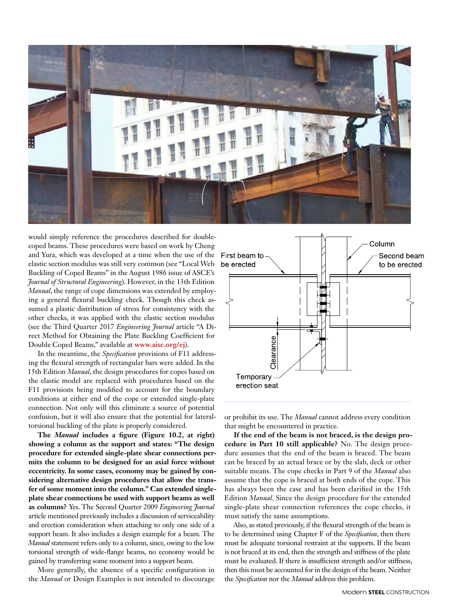

would simply reference the procedures described for doublecoped beams. These procedures were based on work by Cheng and Yura, which was developed at a time when the use of the elastic section modulus was still very common (see "Local Web Buckling of Coped Beams" in the August 1986 issue of ASCE's *Journal of Structural Engineering*). However, in the 13th Edition *Manual*, the range of cope dimensions was extended by employing a general flexural buckling check. Though this check assumed a plastic distribution of stress for consistency with the other checks, it was applied with the elastic section modulus (see the Third Quarter 2017 *Engineering Journal* article "A Direct Method for Obtaining the Plate Buckling Coefficient for Double Coped Beams," available at **www.aisc.org/ej**).

In the meantime, the *Specification* provisions of F11 addressing the flexural strength of rectangular bars were added. In the 15th Edition *Manual*, the design procedures for copes based on the elastic model are replaced with procedures based on the F11 provisions being modified to account for the boundary conditions at either end of the cope or extended single-plate connection. Not only will this eliminate a source of potential confusion, but it will also ensure that the potential for lateraltorsional buckling of the plate is properly considered.

**The** *Manual* **includes a figure (Figure 10.2, at right) showing a column as the support and states: "The design procedure for extended single-plate shear connections permits the column to be designed for an axial force without eccentricity. In some cases, economy may be gained by considering alternative design procedures that allow the transfer of some moment into the column." Can extended singleplate shear connections be used with support beams as well as columns?** Yes. The Second Quarter 2009 *Engineering Journal* article mentioned previously includes a discussion of serviceability and erection consideration when attaching to only one side of a support beam. It also includes a design example for a beam. The *Manual* statement refers only to a column, since, owing to the low torsional strength of wide-flange beams, no economy would be gained by transferring some moment into a support beam.

More generally, the absence of a specific configuration in the *Manual* or Design Examples is not intended to discourage



or prohibit its use. The *Manual* cannot address every condition that might be encountered in practice.

**If the end of the beam is not braced, is the design procedure in Part 10 still applicable?** No. The design procedure assumes that the end of the beam is braced. The beam can be braced by an actual brace or by the slab, deck or other suitable means. The cope checks in Part 9 of the *Manual* also assume that the cope is braced at both ends of the cope. This has always been the case and has been clarified in the 15th Edition *Manual*. Since the design procedure for the extended single-plate shear connection references the cope checks, it must satisfy the same assumptions.

Also, as stated previously, if the flexural strength of the beam is to be determined using Chapter F of the *Specification*, then there must be adequate torsional restraint at the supports. If the beam is not braced at its end, then the strength and stiffness of the plate must be evaluated. If there is insufficient strength and/or stiffness, then this must be accounted for in the design of the beam. Neither the *Specification* nor the *Manual* address this problem.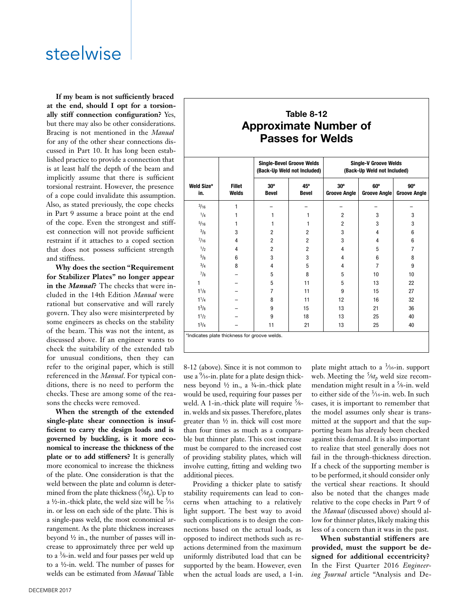## steelwise

**If my beam is not sufficiently braced at the end, should I opt for a torsionally stiff connection configuration?** Yes, but there may also be other considerations. Bracing is not mentioned in the *Manual* for any of the other shear connections discussed in Part 10. It has long been established practice to provide a connection that is at least half the depth of the beam and implicitly assume that there is sufficient torsional restraint. However, the presence of a cope could invalidate this assumption. Also, as stated previously, the cope checks in Part 9 assume a brace point at the end of the cope. Even the strongest and stiffest connection will not provide sufficient restraint if it attaches to a coped section that does not possess sufficient strength and stiffness.

**Why does the section "Requirement for Stabilizer Plates" no longer appear in the** *Manual***?** The checks that were included in the 14th Edition *Manual* were rational but conservative and will rarely govern. They also were misinterpreted by some engineers as checks on the stability of the beam. This was not the intent, as discussed above. If an engineer wants to check the suitability of the extended tab for unusual conditions, then they can refer to the original paper, which is still referenced in the *Manual*. For typical conditions, there is no need to perform the checks. These are among some of the reasons the checks were removed.

**When the strength of the extended single-plate shear connection is insufficient to carry the design loads and is governed by buckling, is it more economical to increase the thickness of the plate or to add stiffeners?** It is generally more economical to increase the thickness of the plate. One consideration is that the weld between the plate and column is determined from the plate thickness  $(5/8t_p)$ . Up to a ½-in.-thick plate, the weld size will be  $\frac{5}{16}$ in. or less on each side of the plate. This is a single-pass weld, the most economical arrangement. As the plate thickness increases beyond ½ in., the number of passes will increase to approximately three per weld up to a 3∕8-in. weld and four passes per weld up to a ½-in. weld. The number of passes for welds can be estimated from *Manual* Table

### **Table 8-12 Approximate Number of Passes for Welds**

| Weld Size*<br>in. | <b>Fillet</b><br>Welds | <b>Single-Bevel Groove Welds</b><br>(Back-Up Weld not Included) |                     | <b>Single-V Groove Welds</b><br>(Back-Up Weld not Included) |                                   |                                   |
|-------------------|------------------------|-----------------------------------------------------------------|---------------------|-------------------------------------------------------------|-----------------------------------|-----------------------------------|
|                   |                        | $30^\circ$<br><b>Bevel</b>                                      | 45°<br><b>Bevel</b> | $30^\circ$<br><b>Groove Angle</b>                           | $60^\circ$<br><b>Groove Angle</b> | $90^\circ$<br><b>Groove Angle</b> |
| $^{3/16}$         | 1                      |                                                                 |                     |                                                             |                                   |                                   |
| 1/4               |                        | 1                                                               | 1                   | $\overline{2}$                                              | 3                                 | 3                                 |
| 5/16              | 1                      | 1                                                               | 1                   | $\overline{2}$                                              | 3                                 | 3                                 |
| $\frac{3}{8}$     | 3                      | $\overline{c}$                                                  | $\overline{2}$      | 3                                                           | $\overline{4}$                    | 6                                 |
| $^{7}/_{16}$      | 4                      | $\overline{c}$                                                  | $\overline{2}$      | 3                                                           | 4                                 | 6                                 |
| 1/2               | 4                      | $\overline{2}$                                                  | $\overline{2}$      | 4                                                           | 5                                 | 7                                 |
| $^{5}/_8$         | 6                      | 3                                                               | 3                   | 4                                                           | 6                                 | 8                                 |
| $^{3}/_{4}$       | 8                      | $\overline{4}$                                                  | 5                   | 4                                                           | $\overline{7}$                    | 9                                 |
| $^{7}/_8$         |                        | 5                                                               | 8                   | 5                                                           | 10                                | 10                                |
| 1                 |                        | 5                                                               | 11                  | 5                                                           | 13                                | 22                                |
| $1^{1/8}$         |                        | 7                                                               | 11                  | 9                                                           | 15                                | 27                                |
| $1^{1}/4$         |                        | 8                                                               | 11                  | 12                                                          | 16                                | 32                                |
| $1^{3}/8$         |                        | 9                                                               | 15                  | 13                                                          | 21                                | 36                                |
| $1^{1/2}$         |                        | 9                                                               | 18                  | 13                                                          | 25                                | 40                                |
| $1^{3}/4$         |                        | 11                                                              | 21                  | 13                                                          | 25                                | 40                                |

8-12 (above). Since it is not common to use a 9∕16-in. plate for a plate design thickness beyond ½ in., a ¾-in.-thick plate would be used, requiring four passes per weld. A 1-in.-thick plate will require  $\frac{5}{8}$ in. welds and six passes. Therefore, plates greater than ½ in. thick will cost more than four times as much as a comparable but thinner plate. This cost increase must be compared to the increased cost of providing stability plates, which will involve cutting, fitting and welding two additional pieces.

Providing a thicker plate to satisfy stability requirements can lead to concerns when attaching to a relatively light support. The best way to avoid such complications is to design the connections based on the actual loads, as opposed to indirect methods such as reactions determined from the maximum uniformly distributed load that can be supported by the beam. However, even when the actual loads are used, a 1-in.

to a relatively relative to the cope checks in Part 9 of plate might attach to a  $\frac{3}{16}$ -in. support web. Meeting the 5∕8*tp* weld size recommendation might result in a 5∕8-in. weld to either side of the  $\frac{3}{16}$ -in. web. In such cases, it is important to remember that the model assumes only shear is transmitted at the support and that the supporting beam has already been checked against this demand. It is also important to realize that steel generally does not fail in the through-thickness direction. If a check of the supporting member is to be performed, it should consider only the vertical shear reactions. It should also be noted that the changes made the *Manual* (discussed above) should allow for thinner plates, likely making this less of a concern than it was in the past.

> **When substantial stiffeners are provided, must the support be designed for additional eccentricity?** In the First Quarter 2016 *Engineering Journal* article "Analysis and De-